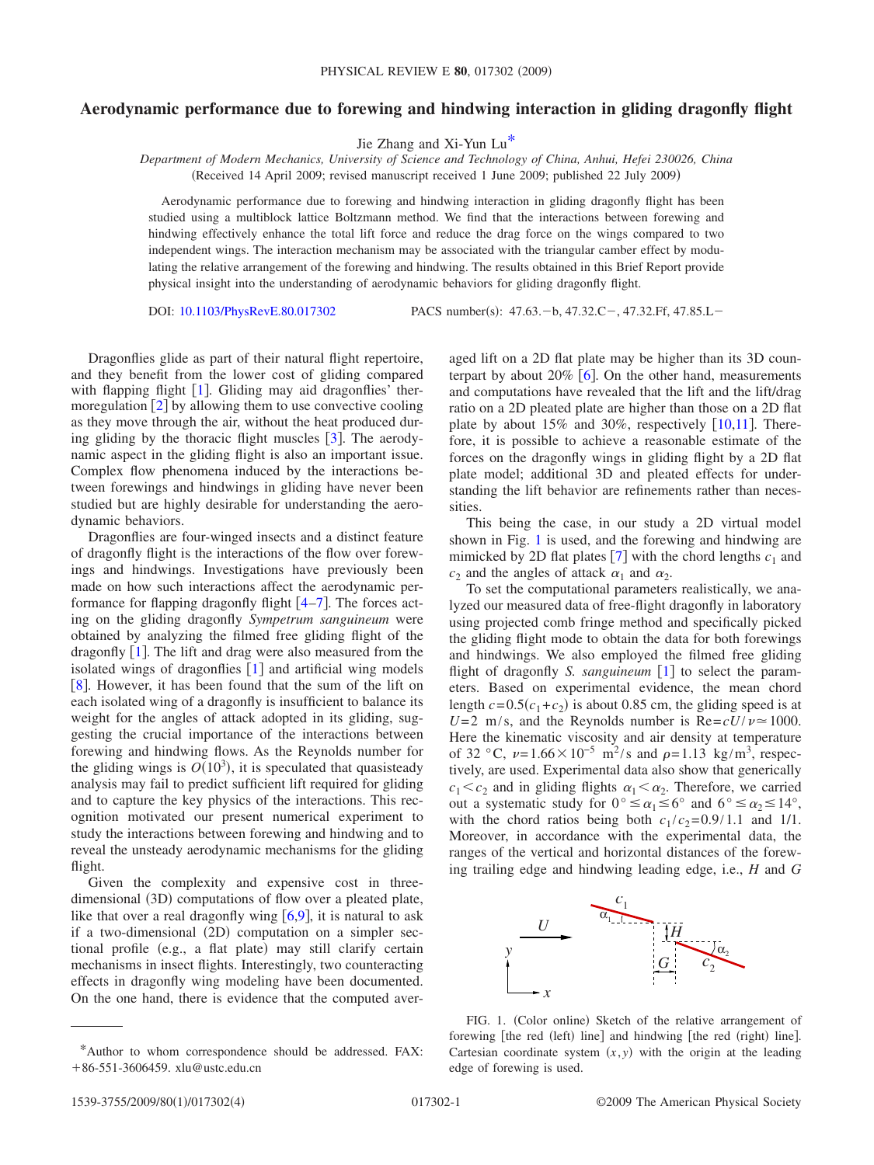## **Aerodynamic performance due to forewing and hindwing interaction in gliding dragonfly flight**

Jie Zhang and Xi-Yun L[u\\*](#page-0-0)

*Department of Modern Mechanics, University of Science and Technology of China, Anhui, Hefei 230026, China* (Received 14 April 2009; revised manuscript received 1 June 2009; published 22 July 2009)

Aerodynamic performance due to forewing and hindwing interaction in gliding dragonfly flight has been studied using a multiblock lattice Boltzmann method. We find that the interactions between forewing and hindwing effectively enhance the total lift force and reduce the drag force on the wings compared to two independent wings. The interaction mechanism may be associated with the triangular camber effect by modulating the relative arrangement of the forewing and hindwing. The results obtained in this Brief Report provide physical insight into the understanding of aerodynamic behaviors for gliding dragonfly flight.

DOI: [10.1103/PhysRevE.80.017302](http://dx.doi.org/10.1103/PhysRevE.80.017302)

PACS number(s): 47.63. - b, 47.32.C - , 47.32.Ff, 47.85.L -

Dragonflies glide as part of their natural flight repertoire, and they benefit from the lower cost of gliding compared with flapping flight  $[1]$  $[1]$  $[1]$ . Gliding may aid dragonflies' thermoregulation  $\lceil 2 \rceil$  $\lceil 2 \rceil$  $\lceil 2 \rceil$  by allowing them to use convective cooling as they move through the air, without the heat produced during gliding by the thoracic flight muscles  $\lceil 3 \rceil$  $\lceil 3 \rceil$  $\lceil 3 \rceil$ . The aerodynamic aspect in the gliding flight is also an important issue. Complex flow phenomena induced by the interactions between forewings and hindwings in gliding have never been studied but are highly desirable for understanding the aerodynamic behaviors.

Dragonflies are four-winged insects and a distinct feature of dragonfly flight is the interactions of the flow over forewings and hindwings. Investigations have previously been made on how such interactions affect the aerodynamic performance for flapping dragonfly flight  $[4-7]$  $[4-7]$  $[4-7]$ . The forces acting on the gliding dragonfly *Sympetrum sanguineum* were obtained by analyzing the filmed free gliding flight of the dragonfly  $\lceil 1 \rceil$  $\lceil 1 \rceil$  $\lceil 1 \rceil$ . The lift and drag were also measured from the isolated wings of dragonflies  $[1]$  $[1]$  $[1]$  and artificial wing models [[8](#page-3-5)]. However, it has been found that the sum of the lift on each isolated wing of a dragonfly is insufficient to balance its weight for the angles of attack adopted in its gliding, suggesting the crucial importance of the interactions between forewing and hindwing flows. As the Reynolds number for the gliding wings is  $O(10^3)$ , it is speculated that quasisteady analysis may fail to predict sufficient lift required for gliding and to capture the key physics of the interactions. This recognition motivated our present numerical experiment to study the interactions between forewing and hindwing and to reveal the unsteady aerodynamic mechanisms for the gliding flight.

Given the complexity and expensive cost in threedimensional (3D) computations of flow over a pleated plate, like that over a real dragonfly wing  $[6,9]$  $[6,9]$  $[6,9]$  $[6,9]$ , it is natural to ask if a two-dimensional (2D) computation on a simpler sectional profile (e.g., a flat plate) may still clarify certain mechanisms in insect flights. Interestingly, two counteracting effects in dragonfly wing modeling have been documented. On the one hand, there is evidence that the computed averaged lift on a 2D flat plate may be higher than its 3D counterpart by about  $20\%$  [[6](#page-3-6)]. On the other hand, measurements and computations have revealed that the lift and the lift/drag ratio on a 2D pleated plate are higher than those on a 2D flat plate by about 15% and 30%, respectively  $[10,11]$  $[10,11]$  $[10,11]$  $[10,11]$ . Therefore, it is possible to achieve a reasonable estimate of the forces on the dragonfly wings in gliding flight by a 2D flat plate model; additional 3D and pleated effects for understanding the lift behavior are refinements rather than necessities.

This being the case, in our study a 2D virtual model shown in Fig. [1](#page-0-1) is used, and the forewing and hindwing are mimicked by 2D flat plates  $\lceil 7 \rceil$  $\lceil 7 \rceil$  $\lceil 7 \rceil$  with the chord lengths  $c_1$  and  $c_2$  and the angles of attack  $\alpha_1$  and  $\alpha_2$ .

To set the computational parameters realistically, we analyzed our measured data of free-flight dragonfly in laboratory using projected comb fringe method and specifically picked the gliding flight mode to obtain the data for both forewings and hindwings. We also employed the filmed free gliding flight of dragonfly *S. sanguineum*  $\lceil 1 \rceil$  $\lceil 1 \rceil$  $\lceil 1 \rceil$  to select the parameters. Based on experimental evidence, the mean chord length  $c = 0.5(c_1 + c_2)$  is about 0.85 cm, the gliding speed is at  $U=2$  m/s, and the Reynolds number is  $Re= cU/\nu \approx 1000$ . Here the kinematic viscosity and air density at temperature of 32 °C,  $\nu = 1.66 \times 10^{-5}$  m<sup>2</sup>/s and  $\rho = 1.13$  kg/m<sup>3</sup>, respectively, are used. Experimental data also show that generically  $c_1 < c_2$  and in gliding flights  $\alpha_1 < \alpha_2$ . Therefore, we carried out a systematic study for  $0^{\circ} \le \alpha_1 \le 6^{\circ}$  and  $6^{\circ} \le \alpha_2 \le 14^{\circ}$ , with the chord ratios being both  $c_1/c_2 = 0.9/1.1$  and  $1/1$ . Moreover, in accordance with the experimental data, the ranges of the vertical and horizontal distances of the forewing trailing edge and hindwing leading edge, i.e., *H* and *G*

<span id="page-0-1"></span>

FIG. 1. (Color online) Sketch of the relative arrangement of forewing [the red (left) line] and hindwing [the red (right) line]. Cartesian coordinate system  $(x, y)$  with the origin at the leading edge of forewing is used.

<span id="page-0-0"></span><sup>\*</sup>Author to whom correspondence should be addressed. FAX: 86-551-3606459. xlu@ustc.edu.cn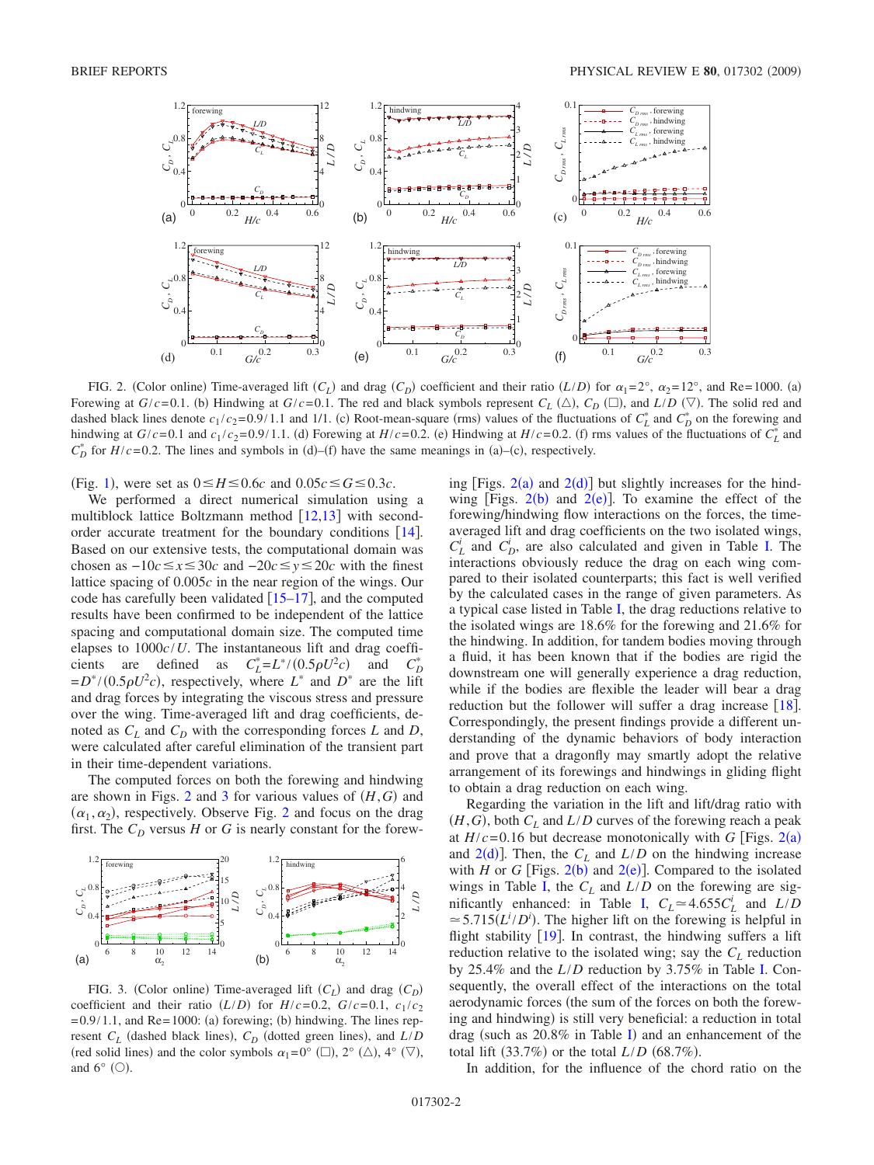<span id="page-1-0"></span>

FIG. 2. (Color online) Time-averaged lift  $(C_L)$  and drag  $(C_D)$  coefficient and their ratio  $(L/D)$  for  $\alpha_1 = 2^\circ$ ,  $\alpha_2 = 12^\circ$ , and Re=1000. (a) Forewing at  $G/c = 0.1$ . (b) Hindwing at  $G/c = 0.1$ . The red and black symbols represent  $C_L$  ( $\triangle$ ),  $C_D$  ( $\Box$ ), and  $L/D$  ( $\triangledown$ ). The solid red and dashed black lines denote  $c_1/c_2 = 0.9/1.1$  and 1/1. (c) Root-mean-square (rms) values of the fluctuations of  $C_L^*$  and  $C_D^*$  on the forewing and hindwing at  $G/c = 0.1$  and  $c_1/c_2 = 0.9/1.1$ . (d) Forewing at  $H/c = 0.2$ . (e) Hindwing at  $H/c = 0.2$ . (f) rms values of the fluctuations of  $C_L^*$  and  $C_D^*$  for *H*/*c*=0.2. The lines and symbols in (d)–(f) have the same meanings in (a)–(c), respectively.

(Fig. [1](#page-0-1)), were set as  $0 \le H \le 0.6c$  and  $0.05c \le G \le 0.3c$ .

We performed a direct numerical simulation using a multiblock lattice Boltzmann method  $[12,13]$  $[12,13]$  $[12,13]$  $[12,13]$  with secondorder accurate treatment for the boundary conditions  $[14]$  $[14]$  $[14]$ . Based on our extensive tests, the computational domain was chosen as  $-10c$ ≤ $x$ ≤30*c* and  $-20c$ ≤ $y$ ≤20*c* with the finest lattice spacing of 0.005*c* in the near region of the wings. Our code has carefully been validated  $[15-17]$  $[15-17]$  $[15-17]$ , and the computed results have been confirmed to be independent of the lattice spacing and computational domain size. The computed time elapses to 1000*c*/*U*. The instantaneous lift and drag coefficients are defined as  $C_L^* = L^* / (0.5 \rho U^2 c)$  and *CD*  $C_D^*$  $= D^* / (0.5 \rho U^2 c)$ , respectively, where  $L^*$  and  $D^*$  are the lift and drag forces by integrating the viscous stress and pressure over the wing. Time-averaged lift and drag coefficients, denoted as  $C_L$  and  $C_D$  with the corresponding forces *L* and *D*, were calculated after careful elimination of the transient part in their time-dependent variations.

The computed forces on both the forewing and hindwing are shown in Figs. [2](#page-1-0) and [3](#page-1-1) for various values of  $(H, G)$  and  $(\alpha_1, \alpha_2)$  $(\alpha_1, \alpha_2)$  $(\alpha_1, \alpha_2)$ , respectively. Observe Fig. 2 and focus on the drag first. The  $C_D$  versus  $H$  or  $G$  is nearly constant for the forew-

<span id="page-1-1"></span>

FIG. 3. (Color online) Time-averaged lift  $(C_L)$  and drag  $(C_D)$ coefficient and their ratio  $(L/D)$  for  $H/c = 0.2$ ,  $G/c = 0.1$ ,  $c_1/c_2$  $= 0.9/1.1$ , and Re $= 1000$ : (a) forewing; (b) hindwing. The lines represent  $C_L$  (dashed black lines),  $C_D$  (dotted green lines), and  $L/D$ (red solid lines) and the color symbols  $\alpha_1=0^{\circ}$  ( $\square$ ),  $2^{\circ}$  ( $\triangle$ ),  $4^{\circ}$  ( $\nabla$ ), and  $6^{\circ}$  (O).

ing [Figs.  $2(a)$  $2(a)$  and  $2(d)$ ] but slightly increases for the hindwing [Figs.  $2(b)$  $2(b)$  and  $2(e)$ ]. To examine the effect of the forewing/hindwing flow interactions on the forces, the timeaveraged lift and drag coefficients on the two isolated wings,  $C_L^i$  and  $C_D^i$ , are also calculated and given in Table [I.](#page-2-0) The interactions obviously reduce the drag on each wing compared to their isolated counterparts; this fact is well verified by the calculated cases in the range of given parameters. As a typical case listed in Table [I,](#page-2-0) the drag reductions relative to the isolated wings are 18.6% for the forewing and 21.6% for the hindwing. In addition, for tandem bodies moving through a fluid, it has been known that if the bodies are rigid the downstream one will generally experience a drag reduction, while if the bodies are flexible the leader will bear a drag reduction but the follower will suffer a drag increase  $\lceil 18 \rceil$  $\lceil 18 \rceil$  $\lceil 18 \rceil$ . Correspondingly, the present findings provide a different understanding of the dynamic behaviors of body interaction and prove that a dragonfly may smartly adopt the relative arrangement of its forewings and hindwings in gliding flight to obtain a drag reduction on each wing.

Regarding the variation in the lift and lift/drag ratio with  $(H, G)$ , both  $C_L$  and  $L/D$  curves of the forewing reach a peak at  $H/c = 0.16$  but decrease monotonically with *G* [Figs. [2](#page-1-0)(a) and  $2(d)$  $2(d)$ ]. Then, the  $C_L$  and  $L/D$  on the hindwing increase with *H* or *G* [Figs.  $2(b)$  $2(b)$  and  $2(e)$ ]. Compared to the isolated wings in Table [I,](#page-2-0) the  $C_L$  and  $L/D$  on the forewing are sig-nificantly enhanced: in Table [I,](#page-2-0)  $C_L \approx 4.655 C_L^i$  and  $L/D$  $\approx$  5.715( $L^i/D^i$ ). The higher lift on the forewing is helpful in flight stability  $[19]$  $[19]$  $[19]$ . In contrast, the hindwing suffers a lift reduction relative to the isolated wing; say the  $C_L$  reduction by 25.4% and the *L*/*D* reduction by 3.75% in Table [I.](#page-2-0) Consequently, the overall effect of the interactions on the total aerodynamic forces (the sum of the forces on both the forewing and hindwing) is still very beneficial: a reduction in total drag (such as  $20.8\%$  in Table [I](#page-2-0)) and an enhancement of the total lift  $(33.7\%)$  or the total  $L/D$   $(68.7\%)$ .

In addition, for the influence of the chord ratio on the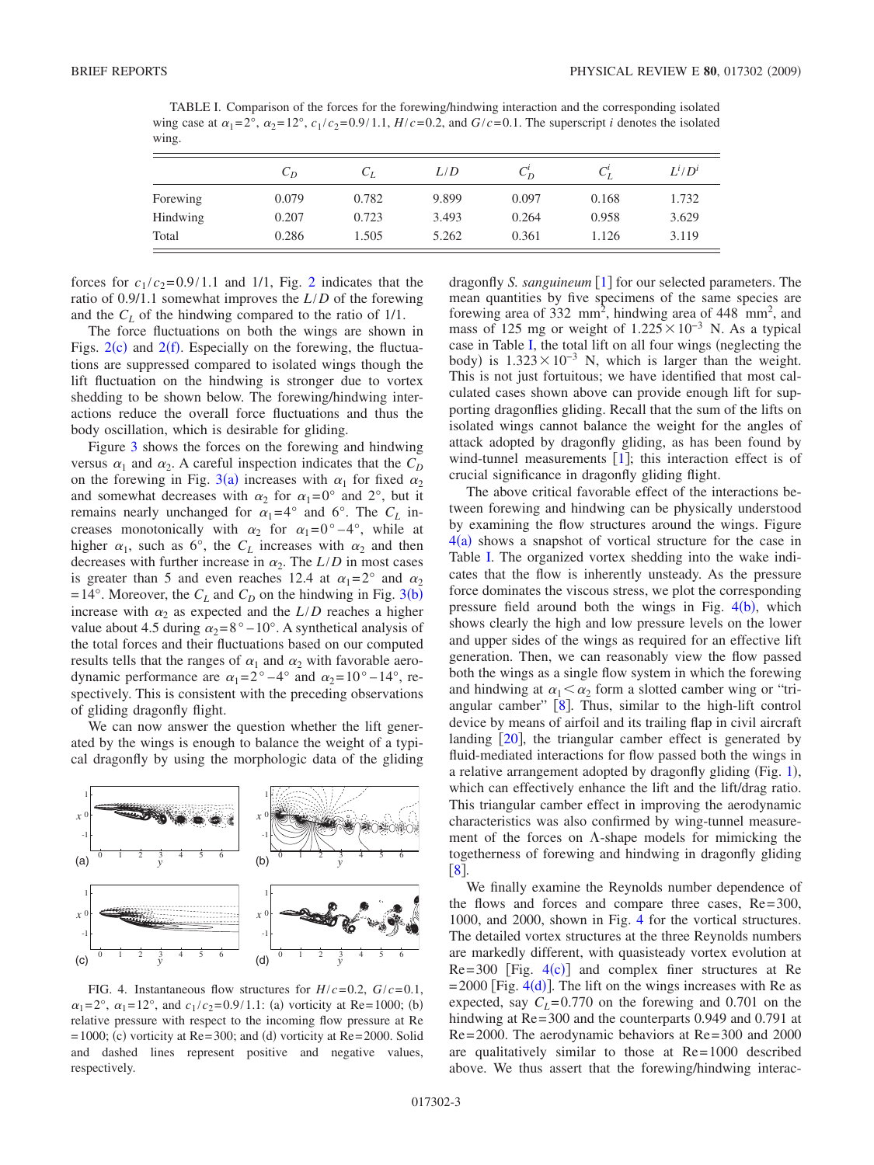<span id="page-2-0"></span>TABLE I. Comparison of the forces for the forewing/hindwing interaction and the corresponding isolated wing case at  $\alpha_1 = 2^\circ$ ,  $\alpha_2 = 12^\circ$ ,  $c_1/c_2 = 0.9/1.1$ ,  $H/c = 0.2$ , and  $G/c = 0.1$ . The superscript *i* denotes the isolated wing.

|          | $C_D$ | $C_L$ | L/D   | $C_{D}$ | $C_I^l$ | $L^i/D^i$ |
|----------|-------|-------|-------|---------|---------|-----------|
| Forewing | 0.079 | 0.782 | 9.899 | 0.097   | 0.168   | 1.732     |
| Hindwing | 0.207 | 0.723 | 3.493 | 0.264   | 0.958   | 3.629     |
| Total    | 0.286 | 1.505 | 5.262 | 0.361   | 1.126   | 3.119     |

forces for  $c_1/c_2 = 0.9/1.1$  $c_1/c_2 = 0.9/1.1$  $c_1/c_2 = 0.9/1.1$  and 1/1, Fig. 2 indicates that the ratio of 0.9/1.1 somewhat improves the *L*/*D* of the forewing and the  $C_L$  of the hindwing compared to the ratio of  $1/1$ .

The force fluctuations on both the wings are shown in Figs.  $2(c)$  $2(c)$  and  $2(f)$ . Especially on the forewing, the fluctuations are suppressed compared to isolated wings though the lift fluctuation on the hindwing is stronger due to vortex shedding to be shown below. The forewing/hindwing interactions reduce the overall force fluctuations and thus the body oscillation, which is desirable for gliding.

Figure [3](#page-1-1) shows the forces on the forewing and hindwing versus  $\alpha_1$  and  $\alpha_2$ . A careful inspection indicates that the  $C_D$ on the forewing in Fig. [3](#page-1-1)(a) increases with  $\alpha_1$  for fixed  $\alpha_2$ and somewhat decreases with  $\alpha_2$  for  $\alpha_1 = 0^\circ$  and  $2^\circ$ , but it remains nearly unchanged for  $\alpha_1 = 4^\circ$  and 6°. The  $C_L$  increases monotonically with  $\alpha_2$  for  $\alpha_1 = 0^\circ - 4^\circ$ , while at higher  $\alpha_1$ , such as 6°, the  $C_L$  increases with  $\alpha_2$  and then decreases with further increase in  $\alpha_2$ . The  $L/D$  in most cases is greater than 5 and even reaches 12.4 at  $\alpha_1 = 2^{\circ}$  and  $\alpha_2$  $= 14^{\circ}$ . Moreover, the  $C_L$  and  $C_D$  on the hindwing in Fig. [3](#page-1-1)(b) increase with  $\alpha_2$  as expected and the  $L/D$  reaches a higher value about 4.5 during  $\alpha_2 = 8^\circ - 10^\circ$ . A synthetical analysis of the total forces and their fluctuations based on our computed results tells that the ranges of  $\alpha_1$  and  $\alpha_2$  with favorable aerodynamic performance are  $\alpha_1 = 2^{\circ} - 4^{\circ}$  and  $\alpha_2 = 10^{\circ} - 14^{\circ}$ , respectively. This is consistent with the preceding observations of gliding dragonfly flight.

We can now answer the question whether the lift generated by the wings is enough to balance the weight of a typical dragonfly by using the morphologic data of the gliding

<span id="page-2-1"></span>

FIG. 4. Instantaneous flow structures for  $H/c = 0.2$ ,  $G/c = 0.1$ ,  $\alpha_1 = 2^{\circ}$ ,  $\alpha_1 = 12^{\circ}$ , and  $c_1/c_2 = 0.9/1.1$ : (a) vorticity at Re=1000; (b) relative pressure with respect to the incoming flow pressure at Re  $= 1000$ ; (c) vorticity at Re=300; and (d) vorticity at Re=2000. Solid and dashed lines represent positive and negative values, respectively.

dragonfly *S. sanguineum*  $\lceil 1 \rceil$  $\lceil 1 \rceil$  $\lceil 1 \rceil$  for our selected parameters. The mean quantities by five specimens of the same species are forewing area of 332 mm<sup>2</sup>, hindwing area of 448 mm<sup>2</sup>, and mass of 125 mg or weight of  $1.225 \times 10^{-3}$  N. As a typical case in Table [I,](#page-2-0) the total lift on all four wings (neglecting the body) is  $1.323 \times 10^{-3}$  N, which is larger than the weight. This is not just fortuitous; we have identified that most calculated cases shown above can provide enough lift for supporting dragonflies gliding. Recall that the sum of the lifts on isolated wings cannot balance the weight for the angles of attack adopted by dragonfly gliding, as has been found by wind-tunnel measurements  $[1]$  $[1]$  $[1]$ ; this interaction effect is of crucial significance in dragonfly gliding flight.

The above critical favorable effect of the interactions between forewing and hindwing can be physically understood by examining the flow structures around the wings. Figure  $4(a)$  $4(a)$  shows a snapshot of vortical structure for the case in Table [I.](#page-2-0) The organized vortex shedding into the wake indicates that the flow is inherently unsteady. As the pressure force dominates the viscous stress, we plot the corresponding pressure field around both the wings in Fig.  $4(b)$  $4(b)$ , which shows clearly the high and low pressure levels on the lower and upper sides of the wings as required for an effective lift generation. Then, we can reasonably view the flow passed both the wings as a single flow system in which the forewing and hindwing at  $\alpha_1 < \alpha_2$  form a slotted camber wing or "triangular camber"  $[8]$  $[8]$  $[8]$ . Thus, similar to the high-lift control device by means of airfoil and its trailing flap in civil aircraft landing  $[20]$  $[20]$  $[20]$ , the triangular camber effect is generated by fluid-mediated interactions for flow passed both the wings in a relative arrangement adopted by dragonfly gliding (Fig. [1](#page-0-1)), which can effectively enhance the lift and the lift/drag ratio. This triangular camber effect in improving the aerodynamic characteristics was also confirmed by wing-tunnel measurement of the forces on  $\Lambda$ -shape models for mimicking the togetherness of forewing and hindwing in dragonfly gliding  $\lceil 8 \rceil$  $\lceil 8 \rceil$  $\lceil 8 \rceil$ 

We finally examine the Reynolds number dependence of the flows and forces and compare three cases,  $Re = 300$ , 1000, and 2000, shown in Fig. [4](#page-2-1) for the vortical structures. The detailed vortex structures at the three Reynolds numbers are markedly different, with quasisteady vortex evolution at  $Re = 300$  [Fig.  $4(c)$  $4(c)$ ] and complex finer structures at Re  $= 2000$  [Fig. [4](#page-2-1)(d)]. The lift on the wings increases with Re as expected, say  $C_L$ = 0.770 on the forewing and 0.701 on the hindwing at Re=300 and the counterparts 0.949 and 0.791 at Re= 2000. The aerodynamic behaviors at Re= 300 and 2000 are qualitatively similar to those at Re= 1000 described above. We thus assert that the forewing/hindwing interac